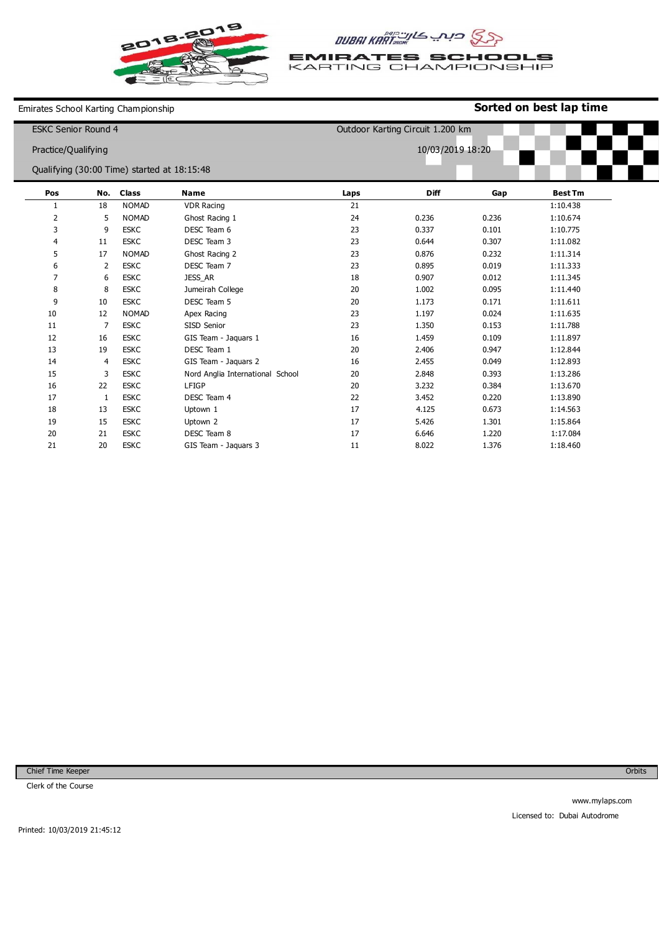



**EMIRATES SCHOOLS**<br>KARTING CHAMPIONSHIP

Emirates School Karting Championship

## **Sorted on best lap time**

| <b>ESKC Senior Round 4</b><br>Practice/Qualifying |                |              |                                  | Outdoor Karting Circuit 1.200 km<br>10/03/2019 18:20 |             |       |                                             |  |
|---------------------------------------------------|----------------|--------------|----------------------------------|------------------------------------------------------|-------------|-------|---------------------------------------------|--|
|                                                   |                |              |                                  |                                                      |             |       |                                             |  |
|                                                   |                |              |                                  |                                                      |             |       | Qualifying (30:00 Time) started at 18:15:48 |  |
| Pos                                               | No.            | <b>Class</b> | <b>Name</b>                      | Laps                                                 | <b>Diff</b> | Gap   | <b>Best Tm</b>                              |  |
| 1                                                 | 18             | <b>NOMAD</b> | <b>VDR Racing</b>                | 21                                                   |             |       | 1:10.438                                    |  |
| $\overline{2}$                                    | 5              | <b>NOMAD</b> | Ghost Racing 1                   | 24                                                   | 0.236       | 0.236 | 1:10.674                                    |  |
| 3                                                 | 9              | <b>ESKC</b>  | DESC Team 6                      | 23                                                   | 0.337       | 0.101 | 1:10.775                                    |  |
| 4                                                 | 11             | <b>ESKC</b>  | DESC Team 3                      | 23                                                   | 0.644       | 0.307 | 1:11.082                                    |  |
| 5                                                 | 17             | <b>NOMAD</b> | Ghost Racing 2                   | 23                                                   | 0.876       | 0.232 | 1:11.314                                    |  |
| 6                                                 | 2              | <b>ESKC</b>  | DESC Team 7                      | 23                                                   | 0.895       | 0.019 | 1:11.333                                    |  |
| $\overline{7}$                                    | 6              | <b>ESKC</b>  | JESS_AR                          | 18                                                   | 0.907       | 0.012 | 1:11.345                                    |  |
| 8                                                 | 8              | <b>ESKC</b>  | Jumeirah College                 | 20                                                   | 1.002       | 0.095 | 1:11.440                                    |  |
| 9                                                 | 10             | <b>ESKC</b>  | DESC Team 5                      | 20                                                   | 1.173       | 0.171 | 1:11.611                                    |  |
| 10                                                | 12             | <b>NOMAD</b> | Apex Racing                      | 23                                                   | 1.197       | 0.024 | 1:11.635                                    |  |
| 11                                                | 7              | <b>ESKC</b>  | SISD Senior                      | 23                                                   | 1.350       | 0.153 | 1:11.788                                    |  |
| 12                                                | 16             | <b>ESKC</b>  | GIS Team - Jaquars 1             | 16                                                   | 1.459       | 0.109 | 1:11.897                                    |  |
| 13                                                | 19             | <b>ESKC</b>  | DESC Team 1                      | 20                                                   | 2.406       | 0.947 | 1:12.844                                    |  |
| 14                                                | $\overline{4}$ | <b>ESKC</b>  | GIS Team - Jaquars 2             | 16                                                   | 2.455       | 0.049 | 1:12.893                                    |  |
| 15                                                | 3              | <b>ESKC</b>  | Nord Anglia International School | 20                                                   | 2.848       | 0.393 | 1:13.286                                    |  |
| 16                                                | 22             | <b>ESKC</b>  | LFIGP                            | 20                                                   | 3.232       | 0.384 | 1:13.670                                    |  |
| 17                                                | 1              | <b>ESKC</b>  | DESC Team 4                      | 22                                                   | 3.452       | 0.220 | 1:13.890                                    |  |
| 18                                                | 13             | <b>ESKC</b>  | Uptown 1                         | 17                                                   | 4.125       | 0.673 | 1:14.563                                    |  |
| 19                                                | 15             | <b>ESKC</b>  | Uptown 2                         | 17                                                   | 5.426       | 1.301 | 1:15.864                                    |  |
| 20                                                | 21             | <b>ESKC</b>  | DESC Team 8                      | 17                                                   | 6.646       | 1.220 | 1:17.084                                    |  |
| 21                                                | 20             | <b>ESKC</b>  | GIS Team - Jaquars 3             | 11                                                   | 8.022       | 1.376 | 1:18.460                                    |  |

Chief Time Keeper

Clerk of the Course

**Orbits**